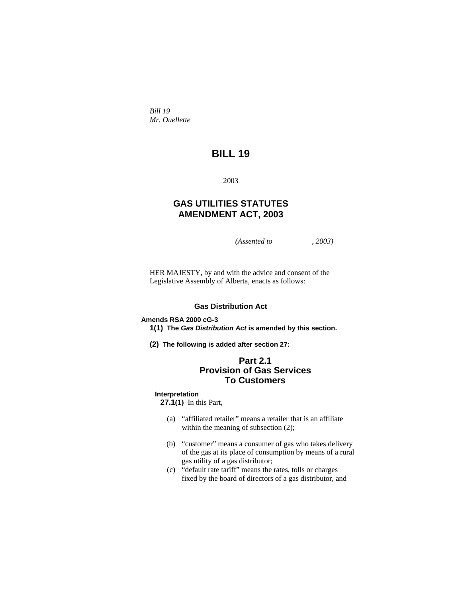*Bill 19 Mr. Ouellette* 

# **BILL 19**

2003

# **GAS UTILITIES STATUTES AMENDMENT ACT, 2003**

*(Assented to , 2003)* 

HER MAJESTY, by and with the advice and consent of the Legislative Assembly of Alberta, enacts as follows:

# **Gas Distribution Act**

# **Amends RSA 2000 cG-3**

**1(1) The** *Gas Distribution Act* **is amended by this section.** 

**(2) The following is added after section 27:**

# **Part 2.1 Provision of Gas Services To Customers**

# **Interpretation**

**27.1(1)** In this Part,

- (a) "affiliated retailer" means a retailer that is an affiliate within the meaning of subsection  $(2)$ ;
- (b) "customer" means a consumer of gas who takes delivery of the gas at its place of consumption by means of a rural gas utility of a gas distributor;
- (c) "default rate tariff" means the rates, tolls or charges fixed by the board of directors of a gas distributor, and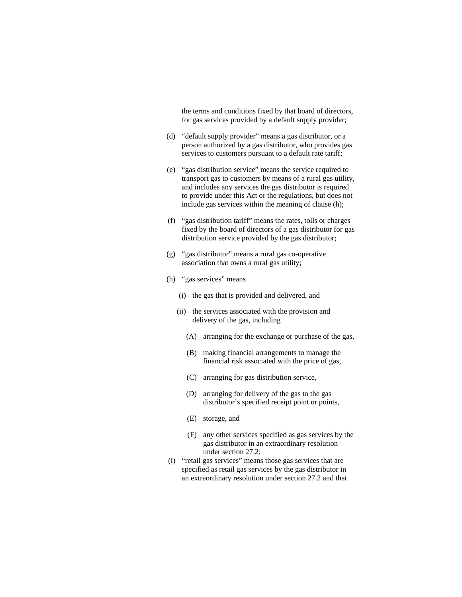the terms and conditions fixed by that board of directors, for gas services provided by a default supply provider;

- (d) "default supply provider" means a gas distributor, or a person authorized by a gas distributor, who provides gas services to customers pursuant to a default rate tariff;
- (e) "gas distribution service" means the service required to transport gas to customers by means of a rural gas utility, and includes any services the gas distributor is required to provide under this Act or the regulations, but does not include gas services within the meaning of clause (h);
- (f) "gas distribution tariff" means the rates, tolls or charges fixed by the board of directors of a gas distributor for gas distribution service provided by the gas distributor;
- (g) "gas distributor" means a rural gas co-operative association that owns a rural gas utility;
- (h) "gas services" means
	- (i) the gas that is provided and delivered, and
	- (ii) the services associated with the provision and delivery of the gas, including
		- (A) arranging for the exchange or purchase of the gas,
		- (B) making financial arrangements to manage the financial risk associated with the price of gas,
		- (C) arranging for gas distribution service,
		- (D) arranging for delivery of the gas to the gas distributor's specified receipt point or points,
		- (E) storage, and
		- (F) any other services specified as gas services by the gas distributor in an extraordinary resolution under section 27.2;
- (i) "retail gas services" means those gas services that are specified as retail gas services by the gas distributor in an extraordinary resolution under section 27.2 and that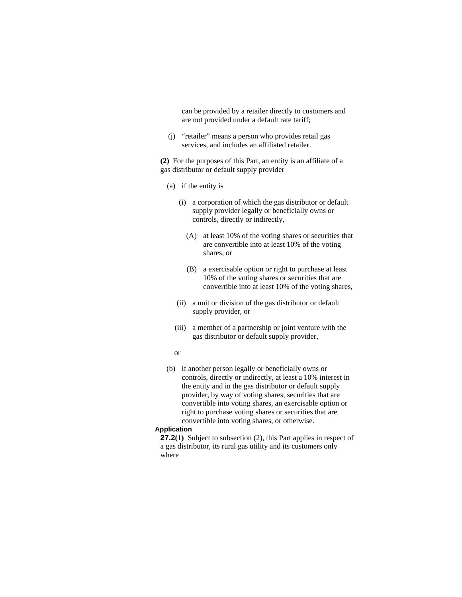can be provided by a retailer directly to customers and are not provided under a default rate tariff;

 (j) "retailer" means a person who provides retail gas services, and includes an affiliated retailer.

**(2)** For the purposes of this Part, an entity is an affiliate of a gas distributor or default supply provider

- (a) if the entity is
	- (i) a corporation of which the gas distributor or default supply provider legally or beneficially owns or controls, directly or indirectly,
		- (A) at least 10% of the voting shares or securities that are convertible into at least 10% of the voting shares, or
		- (B) a exercisable option or right to purchase at least 10% of the voting shares or securities that are convertible into at least 10% of the voting shares,
	- (ii) a unit or division of the gas distributor or default supply provider, or
	- (iii) a member of a partnership or joint venture with the gas distributor or default supply provider,

#### or

 (b) if another person legally or beneficially owns or controls, directly or indirectly, at least a 10% interest in the entity and in the gas distributor or default supply provider, by way of voting shares, securities that are convertible into voting shares, an exercisable option or right to purchase voting shares or securities that are convertible into voting shares, or otherwise.

#### **Application**

**27.2(1)** Subject to subsection (2), this Part applies in respect of a gas distributor, its rural gas utility and its customers only where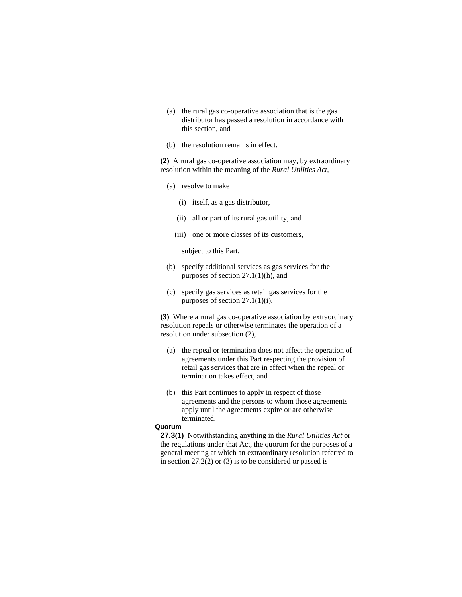- (a) the rural gas co-operative association that is the gas distributor has passed a resolution in accordance with this section, and
- (b) the resolution remains in effect.

**(2)** A rural gas co-operative association may, by extraordinary resolution within the meaning of the *Rural Utilities Act*,

- (a) resolve to make
	- (i) itself, as a gas distributor,
	- (ii) all or part of its rural gas utility, and
	- (iii) one or more classes of its customers,

subject to this Part,

- (b) specify additional services as gas services for the purposes of section 27.1(1)(h), and
- (c) specify gas services as retail gas services for the purposes of section 27.1(1)(i).

**(3)** Where a rural gas co-operative association by extraordinary resolution repeals or otherwise terminates the operation of a resolution under subsection (2),

- (a) the repeal or termination does not affect the operation of agreements under this Part respecting the provision of retail gas services that are in effect when the repeal or termination takes effect, and
- (b) this Part continues to apply in respect of those agreements and the persons to whom those agreements apply until the agreements expire or are otherwise terminated.

# **Quorum**

**27.3(1)** Notwithstanding anything in the *Rural Utilities Act* or the regulations under that Act, the quorum for the purposes of a general meeting at which an extraordinary resolution referred to in section 27.2(2) or (3) is to be considered or passed is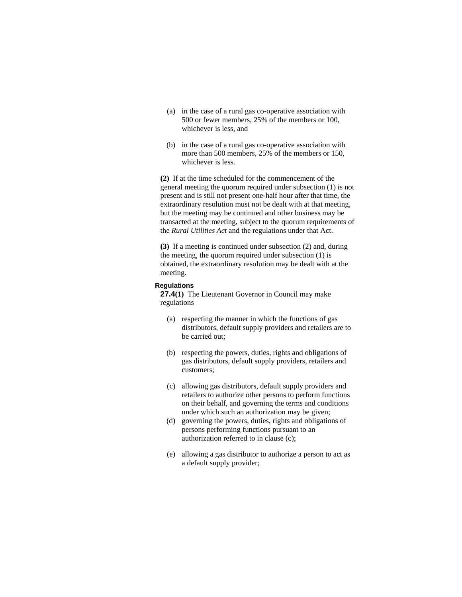- (a) in the case of a rural gas co-operative association with 500 or fewer members, 25% of the members or 100, whichever is less, and
- (b) in the case of a rural gas co-operative association with more than 500 members, 25% of the members or 150, whichever is less.

**(2)** If at the time scheduled for the commencement of the general meeting the quorum required under subsection (1) is not present and is still not present one-half hour after that time, the extraordinary resolution must not be dealt with at that meeting, but the meeting may be continued and other business may be transacted at the meeting, subject to the quorum requirements of the *Rural Utilities Act* and the regulations under that Act.

**(3)** If a meeting is continued under subsection (2) and, during the meeting, the quorum required under subsection (1) is obtained, the extraordinary resolution may be dealt with at the meeting.

#### **Regulations**

**27.4(1)** The Lieutenant Governor in Council may make regulations

- (a) respecting the manner in which the functions of gas distributors, default supply providers and retailers are to be carried out;
- (b) respecting the powers, duties, rights and obligations of gas distributors, default supply providers, retailers and customers;
- (c) allowing gas distributors, default supply providers and retailers to authorize other persons to perform functions on their behalf, and governing the terms and conditions under which such an authorization may be given;
- (d) governing the powers, duties, rights and obligations of persons performing functions pursuant to an authorization referred to in clause (c);
- (e) allowing a gas distributor to authorize a person to act as a default supply provider;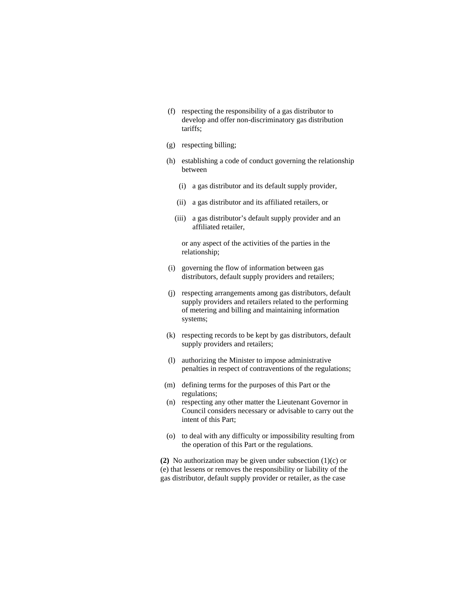- (f) respecting the responsibility of a gas distributor to develop and offer non-discriminatory gas distribution tariffs;
- (g) respecting billing;
- (h) establishing a code of conduct governing the relationship between
	- (i) a gas distributor and its default supply provider,
	- (ii) a gas distributor and its affiliated retailers, or
	- (iii) a gas distributor's default supply provider and an affiliated retailer,

 or any aspect of the activities of the parties in the relationship;

- (i) governing the flow of information between gas distributors, default supply providers and retailers;
- (j) respecting arrangements among gas distributors, default supply providers and retailers related to the performing of metering and billing and maintaining information systems;
- (k) respecting records to be kept by gas distributors, default supply providers and retailers;
- (l) authorizing the Minister to impose administrative penalties in respect of contraventions of the regulations;
- (m) defining terms for the purposes of this Part or the regulations;
- (n) respecting any other matter the Lieutenant Governor in Council considers necessary or advisable to carry out the intent of this Part;
- (o) to deal with any difficulty or impossibility resulting from the operation of this Part or the regulations.

**(2)** No authorization may be given under subsection (1)(c) or (e) that lessens or removes the responsibility or liability of the gas distributor, default supply provider or retailer, as the case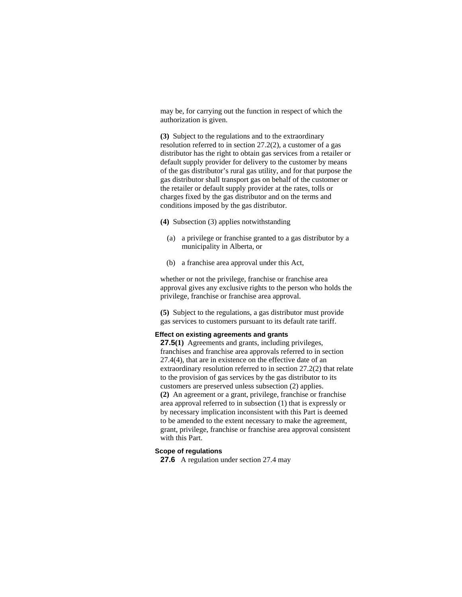may be, for carrying out the function in respect of which the authorization is given.

**(3)** Subject to the regulations and to the extraordinary resolution referred to in section 27.2(2), a customer of a gas distributor has the right to obtain gas services from a retailer or default supply provider for delivery to the customer by means of the gas distributor's rural gas utility, and for that purpose the gas distributor shall transport gas on behalf of the customer or the retailer or default supply provider at the rates, tolls or charges fixed by the gas distributor and on the terms and conditions imposed by the gas distributor.

**(4)** Subsection (3) applies notwithstanding

- (a) a privilege or franchise granted to a gas distributor by a municipality in Alberta, or
- (b) a franchise area approval under this Act,

whether or not the privilege, franchise or franchise area approval gives any exclusive rights to the person who holds the privilege, franchise or franchise area approval.

**(5)** Subject to the regulations, a gas distributor must provide gas services to customers pursuant to its default rate tariff.

#### **Effect on existing agreements and grants**

**27.5(1)** Agreements and grants, including privileges, franchises and franchise area approvals referred to in section 27.4(4), that are in existence on the effective date of an extraordinary resolution referred to in section 27.2(2) that relate to the provision of gas services by the gas distributor to its customers are preserved unless subsection (2) applies. **(2)** An agreement or a grant, privilege, franchise or franchise area approval referred to in subsection (1) that is expressly or by necessary implication inconsistent with this Part is deemed to be amended to the extent necessary to make the agreement, grant, privilege, franchise or franchise area approval consistent with this Part.

#### **Scope of regulations**

**27.6** A regulation under section 27.4 may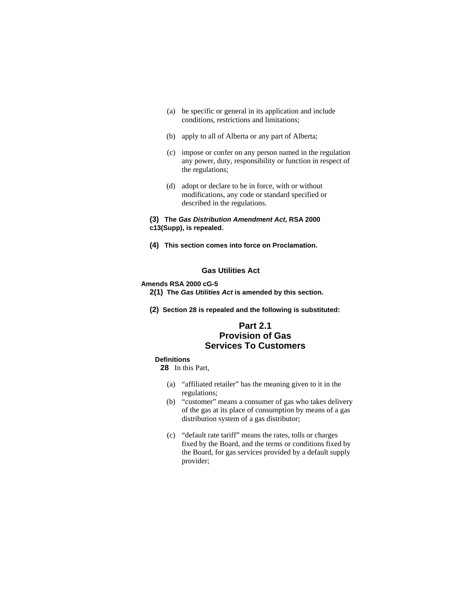- (a) be specific or general in its application and include conditions, restrictions and limitations;
- (b) apply to all of Alberta or any part of Alberta;
- (c) impose or confer on any person named in the regulation any power, duty, responsibility or function in respect of the regulations;
- (d) adopt or declare to be in force, with or without modifications, any code or standard specified or described in the regulations.

# **(3) The** *Gas Distribution Amendment Act***, RSA 2000 c13(Supp), is repealed.**

**(4) This section comes into force on Proclamation.**

# **Gas Utilities Act**

### **Amends RSA 2000 cG-5**

- **2(1) The** *Gas Utilities Act* **is amended by this section.**
- **(2) Section 28 is repealed and the following is substituted:**

# **Part 2.1 Provision of Gas Services To Customers**

# **Definitions**

**28** In this Part,

- (a) "affiliated retailer" has the meaning given to it in the regulations;
- (b) "customer" means a consumer of gas who takes delivery of the gas at its place of consumption by means of a gas distribution system of a gas distributor;
- (c) "default rate tariff" means the rates, tolls or charges fixed by the Board, and the terms or conditions fixed by the Board, for gas services provided by a default supply provider;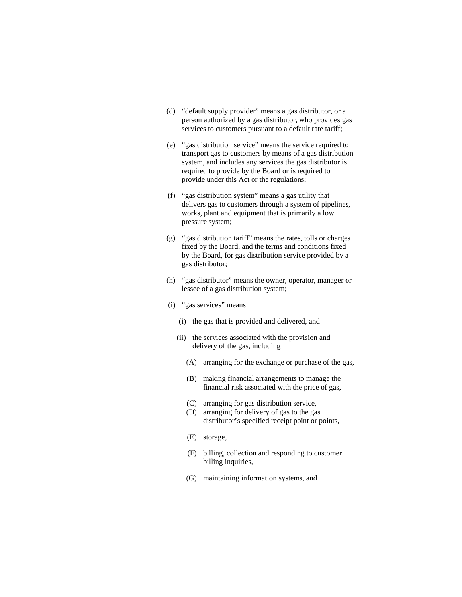- (d) "default supply provider" means a gas distributor, or a person authorized by a gas distributor, who provides gas services to customers pursuant to a default rate tariff;
- (e) "gas distribution service" means the service required to transport gas to customers by means of a gas distribution system, and includes any services the gas distributor is required to provide by the Board or is required to provide under this Act or the regulations;
- (f) "gas distribution system" means a gas utility that delivers gas to customers through a system of pipelines, works, plant and equipment that is primarily a low pressure system;
- (g) "gas distribution tariff" means the rates, tolls or charges fixed by the Board, and the terms and conditions fixed by the Board, for gas distribution service provided by a gas distributor;
- (h) "gas distributor" means the owner, operator, manager or lessee of a gas distribution system;
- (i) "gas services" means
	- (i) the gas that is provided and delivered, and
	- (ii) the services associated with the provision and delivery of the gas, including
		- (A) arranging for the exchange or purchase of the gas,
		- (B) making financial arrangements to manage the financial risk associated with the price of gas,
		- (C) arranging for gas distribution service,
		- (D) arranging for delivery of gas to the gas distributor's specified receipt point or points,
		- (E) storage,
		- (F) billing, collection and responding to customer billing inquiries,
		- (G) maintaining information systems, and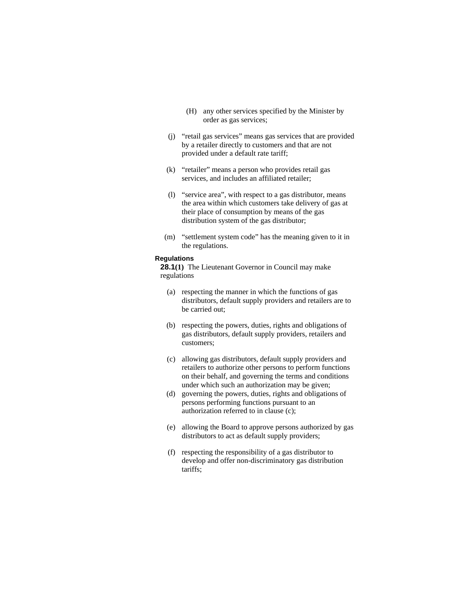- (H) any other services specified by the Minister by order as gas services;
- (j) "retail gas services" means gas services that are provided by a retailer directly to customers and that are not provided under a default rate tariff;
- (k) "retailer" means a person who provides retail gas services, and includes an affiliated retailer;
- (l) "service area", with respect to a gas distributor, means the area within which customers take delivery of gas at their place of consumption by means of the gas distribution system of the gas distributor;
- (m) "settlement system code" has the meaning given to it in the regulations.

#### **Regulations**

**28.1(1)** The Lieutenant Governor in Council may make regulations

- (a) respecting the manner in which the functions of gas distributors, default supply providers and retailers are to be carried out;
- (b) respecting the powers, duties, rights and obligations of gas distributors, default supply providers, retailers and customers;
- (c) allowing gas distributors, default supply providers and retailers to authorize other persons to perform functions on their behalf, and governing the terms and conditions under which such an authorization may be given;
- (d) governing the powers, duties, rights and obligations of persons performing functions pursuant to an authorization referred to in clause (c);
- (e) allowing the Board to approve persons authorized by gas distributors to act as default supply providers;
- (f) respecting the responsibility of a gas distributor to develop and offer non-discriminatory gas distribution tariffs;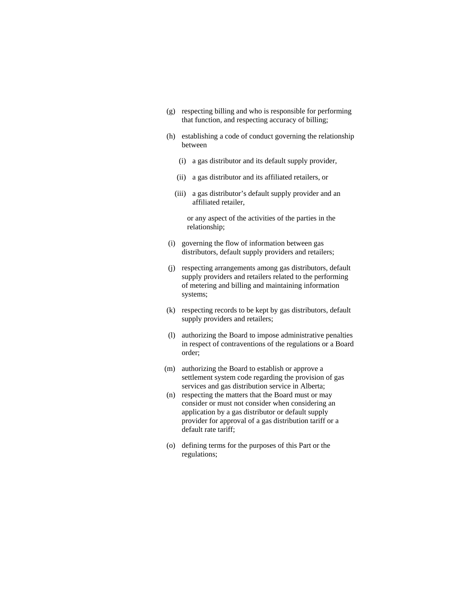- (g) respecting billing and who is responsible for performing that function, and respecting accuracy of billing;
- (h) establishing a code of conduct governing the relationship between
	- (i) a gas distributor and its default supply provider,
	- (ii) a gas distributor and its affiliated retailers, or
	- (iii) a gas distributor's default supply provider and an affiliated retailer,

or any aspect of the activities of the parties in the relationship;

- (i) governing the flow of information between gas distributors, default supply providers and retailers;
- (j) respecting arrangements among gas distributors, default supply providers and retailers related to the performing of metering and billing and maintaining information systems;
- (k) respecting records to be kept by gas distributors, default supply providers and retailers;
- (l) authorizing the Board to impose administrative penalties in respect of contraventions of the regulations or a Board order;
- (m) authorizing the Board to establish or approve a settlement system code regarding the provision of gas services and gas distribution service in Alberta;
- (n) respecting the matters that the Board must or may consider or must not consider when considering an application by a gas distributor or default supply provider for approval of a gas distribution tariff or a default rate tariff;
- (o) defining terms for the purposes of this Part or the regulations;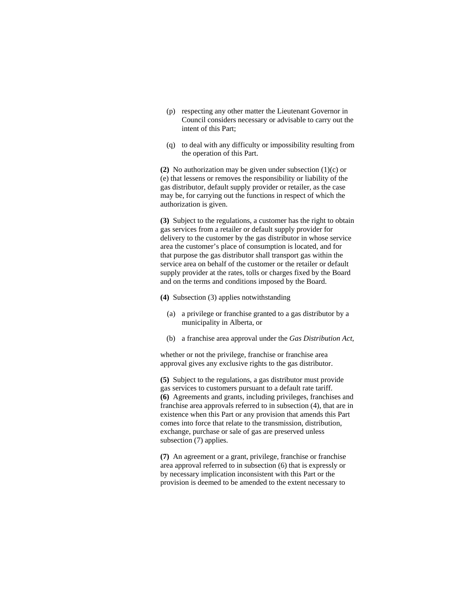- (p) respecting any other matter the Lieutenant Governor in Council considers necessary or advisable to carry out the intent of this Part;
- (q) to deal with any difficulty or impossibility resulting from the operation of this Part.

**(2)** No authorization may be given under subsection (1)(c) or (e) that lessens or removes the responsibility or liability of the gas distributor, default supply provider or retailer, as the case may be, for carrying out the functions in respect of which the authorization is given.

**(3)** Subject to the regulations, a customer has the right to obtain gas services from a retailer or default supply provider for delivery to the customer by the gas distributor in whose service area the customer's place of consumption is located, and for that purpose the gas distributor shall transport gas within the service area on behalf of the customer or the retailer or default supply provider at the rates, tolls or charges fixed by the Board and on the terms and conditions imposed by the Board.

**(4)** Subsection (3) applies notwithstanding

- (a) a privilege or franchise granted to a gas distributor by a municipality in Alberta, or
- (b) a franchise area approval under the *Gas Distribution Act*,

whether or not the privilege, franchise or franchise area approval gives any exclusive rights to the gas distributor.

**(5)** Subject to the regulations, a gas distributor must provide gas services to customers pursuant to a default rate tariff. **(6)** Agreements and grants, including privileges, franchises and franchise area approvals referred to in subsection (4), that are in existence when this Part or any provision that amends this Part comes into force that relate to the transmission, distribution, exchange, purchase or sale of gas are preserved unless subsection (7) applies.

**(7)** An agreement or a grant, privilege, franchise or franchise area approval referred to in subsection (6) that is expressly or by necessary implication inconsistent with this Part or the provision is deemed to be amended to the extent necessary to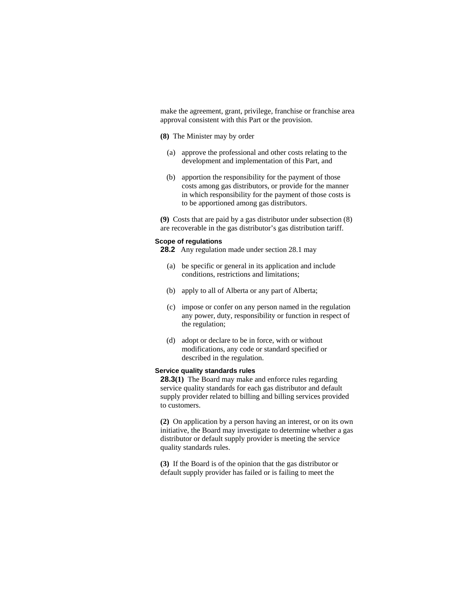make the agreement, grant, privilege, franchise or franchise area approval consistent with this Part or the provision.

# **(8)** The Minister may by order

- (a) approve the professional and other costs relating to the development and implementation of this Part, and
- (b) apportion the responsibility for the payment of those costs among gas distributors, or provide for the manner in which responsibility for the payment of those costs is to be apportioned among gas distributors.

**(9)** Costs that are paid by a gas distributor under subsection (8) are recoverable in the gas distributor's gas distribution tariff.

#### **Scope of regulations**

**28.2** Any regulation made under section 28.1 may

- (a) be specific or general in its application and include conditions, restrictions and limitations;
- (b) apply to all of Alberta or any part of Alberta;
- (c) impose or confer on any person named in the regulation any power, duty, responsibility or function in respect of the regulation;
- (d) adopt or declare to be in force, with or without modifications, any code or standard specified or described in the regulation.

# **Service quality standards rules**

**28.3(1)** The Board may make and enforce rules regarding service quality standards for each gas distributor and default supply provider related to billing and billing services provided to customers.

**(2)** On application by a person having an interest, or on its own initiative, the Board may investigate to determine whether a gas distributor or default supply provider is meeting the service quality standards rules.

**(3)** If the Board is of the opinion that the gas distributor or default supply provider has failed or is failing to meet the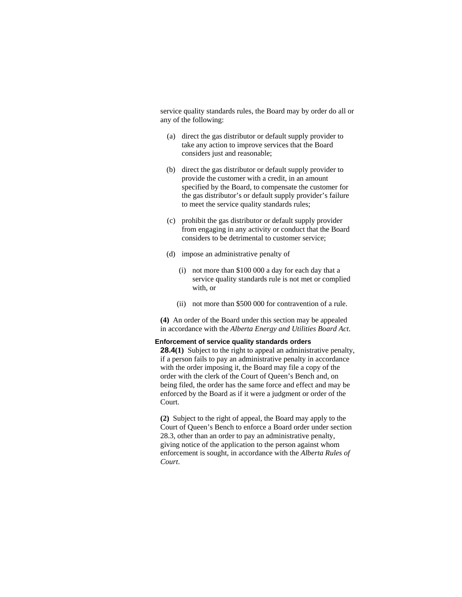service quality standards rules, the Board may by order do all or any of the following:

- (a) direct the gas distributor or default supply provider to take any action to improve services that the Board considers just and reasonable;
- (b) direct the gas distributor or default supply provider to provide the customer with a credit, in an amount specified by the Board, to compensate the customer for the gas distributor's or default supply provider's failure to meet the service quality standards rules;
- (c) prohibit the gas distributor or default supply provider from engaging in any activity or conduct that the Board considers to be detrimental to customer service;
- (d) impose an administrative penalty of
	- (i) not more than \$100 000 a day for each day that a service quality standards rule is not met or complied with, or
	- (ii) not more than \$500 000 for contravention of a rule.

**(4)** An order of the Board under this section may be appealed in accordance with the *Alberta Energy and Utilities Board Act*.

#### **Enforcement of service quality standards orders**

**28.4(1)** Subject to the right to appeal an administrative penalty, if a person fails to pay an administrative penalty in accordance with the order imposing it, the Board may file a copy of the order with the clerk of the Court of Queen's Bench and, on being filed, the order has the same force and effect and may be enforced by the Board as if it were a judgment or order of the Court.

**(2)** Subject to the right of appeal, the Board may apply to the Court of Queen's Bench to enforce a Board order under section 28.3, other than an order to pay an administrative penalty, giving notice of the application to the person against whom enforcement is sought, in accordance with the *Alberta Rules of Court*.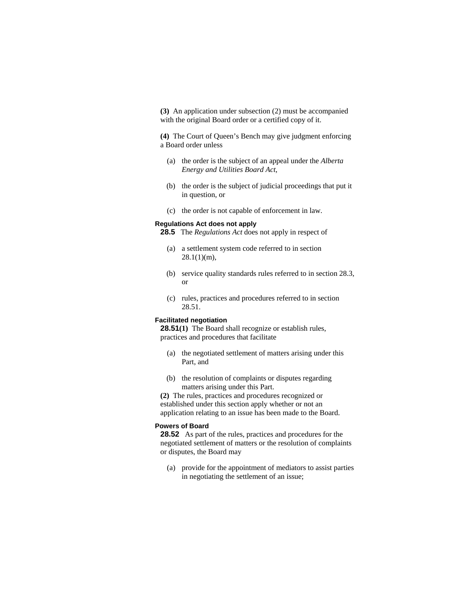**(3)** An application under subsection (2) must be accompanied with the original Board order or a certified copy of it.

**(4)** The Court of Queen's Bench may give judgment enforcing a Board order unless

- (a) the order is the subject of an appeal under the *Alberta Energy and Utilities Board Act*,
- (b) the order is the subject of judicial proceedings that put it in question, or
- (c) the order is not capable of enforcement in law.

# **Regulations Act does not apply**

**28.5** The *Regulations Act* does not apply in respect of

- (a) a settlement system code referred to in section  $28.1(1)(m)$ ,
- (b) service quality standards rules referred to in section 28.3, or
- (c) rules, practices and procedures referred to in section 28.51.

# **Facilitated negotiation**

**28.51(1)** The Board shall recognize or establish rules, practices and procedures that facilitate

- (a) the negotiated settlement of matters arising under this Part, and
- (b) the resolution of complaints or disputes regarding matters arising under this Part.

**(2)** The rules, practices and procedures recognized or established under this section apply whether or not an application relating to an issue has been made to the Board.

#### **Powers of Board**

**28.52** As part of the rules, practices and procedures for the negotiated settlement of matters or the resolution of complaints or disputes, the Board may

 (a) provide for the appointment of mediators to assist parties in negotiating the settlement of an issue;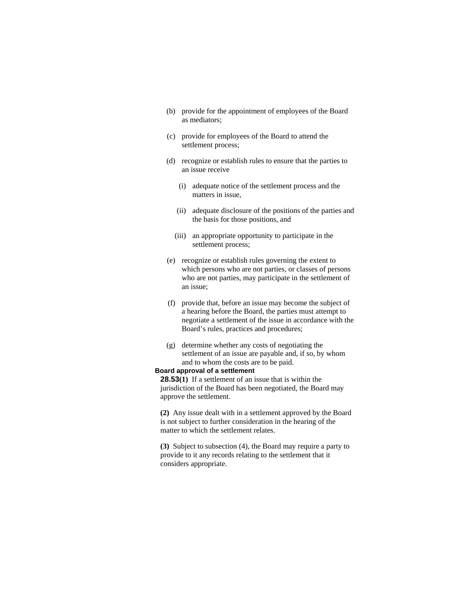- (b) provide for the appointment of employees of the Board as mediators;
- (c) provide for employees of the Board to attend the settlement process;
- (d) recognize or establish rules to ensure that the parties to an issue receive
	- (i) adequate notice of the settlement process and the matters in issue,
	- (ii) adequate disclosure of the positions of the parties and the basis for those positions, and
	- (iii) an appropriate opportunity to participate in the settlement process;
- (e) recognize or establish rules governing the extent to which persons who are not parties, or classes of persons who are not parties, may participate in the settlement of an issue;
- (f) provide that, before an issue may become the subject of a hearing before the Board, the parties must attempt to negotiate a settlement of the issue in accordance with the Board's rules, practices and procedures;
- (g) determine whether any costs of negotiating the settlement of an issue are payable and, if so, by whom and to whom the costs are to be paid.

#### **Board approval of a settlement**

**28.53(1)** If a settlement of an issue that is within the jurisdiction of the Board has been negotiated, the Board may approve the settlement.

**(2)** Any issue dealt with in a settlement approved by the Board is not subject to further consideration in the hearing of the matter to which the settlement relates.

**(3)** Subject to subsection (4), the Board may require a party to provide to it any records relating to the settlement that it considers appropriate.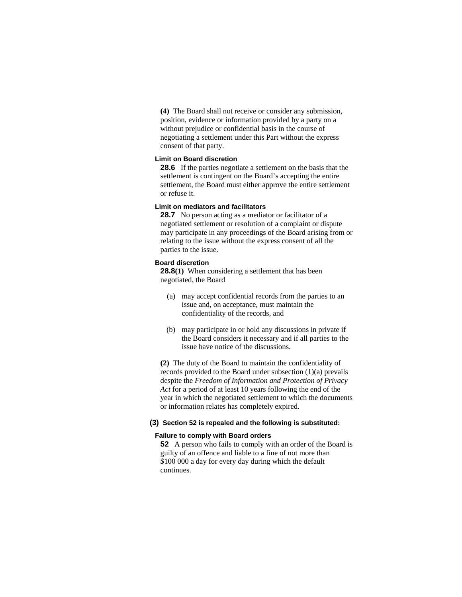**(4)** The Board shall not receive or consider any submission, position, evidence or information provided by a party on a without prejudice or confidential basis in the course of negotiating a settlement under this Part without the express consent of that party.

### **Limit on Board discretion**

**28.6** If the parties negotiate a settlement on the basis that the settlement is contingent on the Board's accepting the entire settlement, the Board must either approve the entire settlement or refuse it.

#### **Limit on mediators and facilitators**

**28.7** No person acting as a mediator or facilitator of a negotiated settlement or resolution of a complaint or dispute may participate in any proceedings of the Board arising from or relating to the issue without the express consent of all the parties to the issue.

#### **Board discretion**

**28.8(1)** When considering a settlement that has been negotiated, the Board

- (a) may accept confidential records from the parties to an issue and, on acceptance, must maintain the confidentiality of the records, and
- (b) may participate in or hold any discussions in private if the Board considers it necessary and if all parties to the issue have notice of the discussions.

**(2)** The duty of the Board to maintain the confidentiality of records provided to the Board under subsection (1)(a) prevails despite the *Freedom of Information and Protection of Privacy Act* for a period of at least 10 years following the end of the year in which the negotiated settlement to which the documents or information relates has completely expired.

# **(3) Section 52 is repealed and the following is substituted:**

#### **Failure to comply with Board orders**

**52** A person who fails to comply with an order of the Board is guilty of an offence and liable to a fine of not more than \$100 000 a day for every day during which the default continues.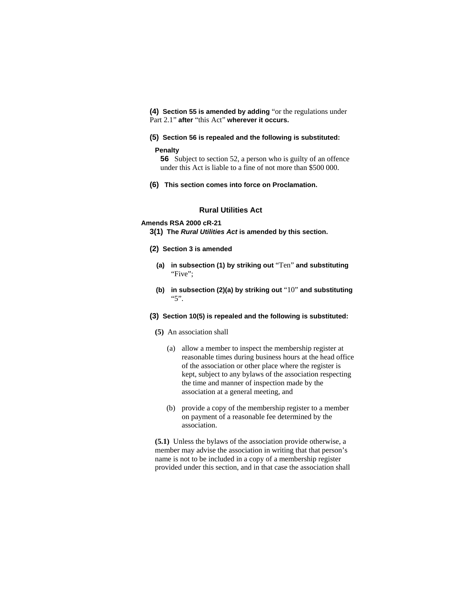**(4) Section 55 is amended by adding** "or the regulations under Part 2.1" **after** "this Act" **wherever it occurs.**

#### **(5) Section 56 is repealed and the following is substituted:**

#### **Penalty**

**56** Subject to section 52, a person who is guilty of an offence under this Act is liable to a fine of not more than \$500 000.

**(6) This section comes into force on Proclamation.**

### **Rural Utilities Act**

# **Amends RSA 2000 cR-21**

**3(1) The** *Rural Utilities Act* **is amended by this section.** 

- **(2) Section 3 is amended**
	- **(a) in subsection (1) by striking out** "Ten" **and substituting**  "Five";
	- **(b) in subsection (2)(a) by striking out** "10" **and substituting**  "5".
- **(3) Section 10(5) is repealed and the following is substituted:**
	- **(5)** An association shall
		- (a) allow a member to inspect the membership register at reasonable times during business hours at the head office of the association or other place where the register is kept, subject to any bylaws of the association respecting the time and manner of inspection made by the association at a general meeting, and
		- (b) provide a copy of the membership register to a member on payment of a reasonable fee determined by the association.

**(5.1)** Unless the bylaws of the association provide otherwise, a member may advise the association in writing that that person's name is not to be included in a copy of a membership register provided under this section, and in that case the association shall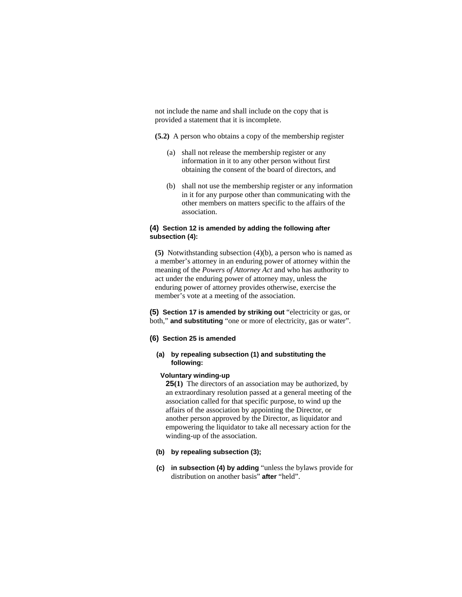not include the name and shall include on the copy that is provided a statement that it is incomplete.

**(5.2)** A person who obtains a copy of the membership register

- (a) shall not release the membership register or any information in it to any other person without first obtaining the consent of the board of directors, and
- (b) shall not use the membership register or any information in it for any purpose other than communicating with the other members on matters specific to the affairs of the association.

# **(4) Section 12 is amended by adding the following after subsection (4):**

**(5)** Notwithstanding subsection (4)(b), a person who is named as a member's attorney in an enduring power of attorney within the meaning of the *Powers of Attorney Act* and who has authority to act under the enduring power of attorney may, unless the enduring power of attorney provides otherwise, exercise the member's vote at a meeting of the association.

**(5) Section 17 is amended by striking out** "electricity or gas, or both," **and substituting** "one or more of electricity, gas or water".

#### **(6) Section 25 is amended**

### **(a) by repealing subsection (1) and substituting the following:**

#### **Voluntary winding-up**

**25(1)** The directors of an association may be authorized, by an extraordinary resolution passed at a general meeting of the association called for that specific purpose, to wind up the affairs of the association by appointing the Director, or another person approved by the Director, as liquidator and empowering the liquidator to take all necessary action for the winding-up of the association.

- **(b) by repealing subsection (3);**
- **(c) in subsection (4) by adding** "unless the bylaws provide for distribution on another basis" **after** "held".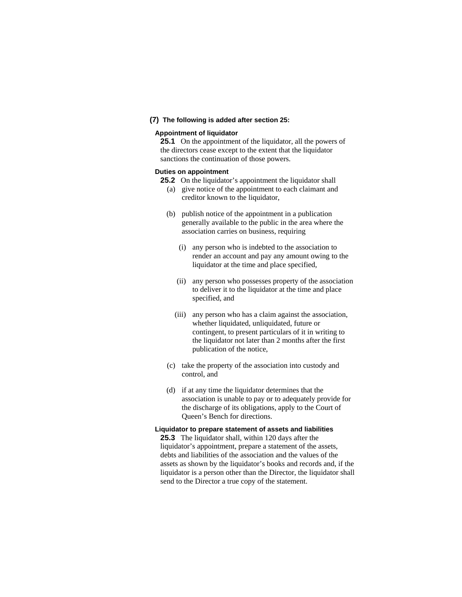# **(7) The following is added after section 25:**

#### **Appointment of liquidator**

**25.1** On the appointment of the liquidator, all the powers of the directors cease except to the extent that the liquidator sanctions the continuation of those powers.

## **Duties on appointment**

- **25.2** On the liquidator's appointment the liquidator shall
	- (a) give notice of the appointment to each claimant and creditor known to the liquidator,
	- (b) publish notice of the appointment in a publication generally available to the public in the area where the association carries on business, requiring
		- (i) any person who is indebted to the association to render an account and pay any amount owing to the liquidator at the time and place specified,
		- (ii) any person who possesses property of the association to deliver it to the liquidator at the time and place specified, and
		- (iii) any person who has a claim against the association, whether liquidated, unliquidated, future or contingent, to present particulars of it in writing to the liquidator not later than 2 months after the first publication of the notice,
	- (c) take the property of the association into custody and control, and
	- (d) if at any time the liquidator determines that the association is unable to pay or to adequately provide for the discharge of its obligations, apply to the Court of Queen's Bench for directions.

#### **Liquidator to prepare statement of assets and liabilities**

**25.3** The liquidator shall, within 120 days after the liquidator's appointment, prepare a statement of the assets, debts and liabilities of the association and the values of the assets as shown by the liquidator's books and records and, if the liquidator is a person other than the Director, the liquidator shall send to the Director a true copy of the statement.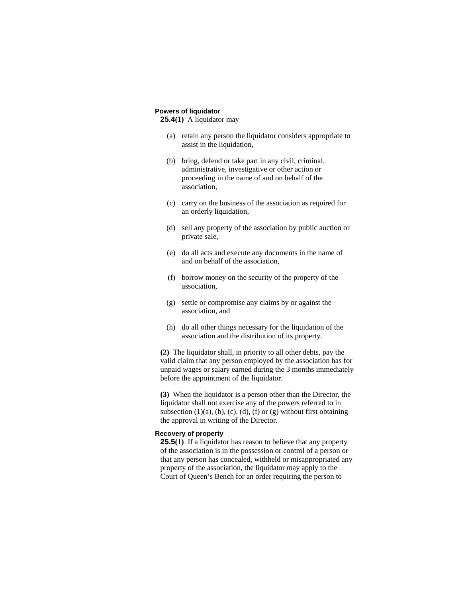# **Powers of liquidator**

**25.4(1)** A liquidator may

- (a) retain any person the liquidator considers appropriate to assist in the liquidation,
- (b) bring, defend or take part in any civil, criminal, administrative, investigative or other action or proceeding in the name of and on behalf of the association,
- (c) carry on the business of the association as required for an orderly liquidation,
- (d) sell any property of the association by public auction or private sale,
- (e) do all acts and execute any documents in the name of and on behalf of the association,
- (f) borrow money on the security of the property of the association,
- (g) settle or compromise any claims by or against the association, and
- (h) do all other things necessary for the liquidation of the association and the distribution of its property.

**(2)** The liquidator shall, in priority to all other debts, pay the valid claim that any person employed by the association has for unpaid wages or salary earned during the 3 months immediately before the appointment of the liquidator.

**(3)** When the liquidator is a person other than the Director, the liquidator shall not exercise any of the powers referred to in subsection  $(1)(a)$ ,  $(b)$ ,  $(c)$ ,  $(d)$ ,  $(f)$  or  $(g)$  without first obtaining the approval in writing of the Director.

# **Recovery of property**

**25.5(1)** If a liquidator has reason to believe that any property of the association is in the possession or control of a person or that any person has concealed, withheld or misappropriated any property of the association, the liquidator may apply to the Court of Queen's Bench for an order requiring the person to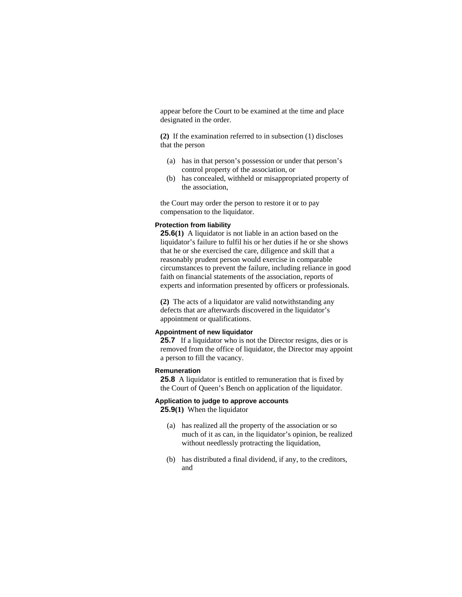appear before the Court to be examined at the time and place designated in the order.

**(2)** If the examination referred to in subsection (1) discloses that the person

- (a) has in that person's possession or under that person's control property of the association, or
- (b) has concealed, withheld or misappropriated property of the association,

the Court may order the person to restore it or to pay compensation to the liquidator.

### **Protection from liability**

**25.6(1)** A liquidator is not liable in an action based on the liquidator's failure to fulfil his or her duties if he or she shows that he or she exercised the care, diligence and skill that a reasonably prudent person would exercise in comparable circumstances to prevent the failure, including reliance in good faith on financial statements of the association, reports of experts and information presented by officers or professionals.

**(2)** The acts of a liquidator are valid notwithstanding any defects that are afterwards discovered in the liquidator's appointment or qualifications.

#### **Appointment of new liquidator**

**25.7** If a liquidator who is not the Director resigns, dies or is removed from the office of liquidator, the Director may appoint a person to fill the vacancy.

#### **Remuneration**

**25.8** A liquidator is entitled to remuneration that is fixed by the Court of Queen's Bench on application of the liquidator.

#### **Application to judge to approve accounts**

**25.9(1)** When the liquidator

- (a) has realized all the property of the association or so much of it as can, in the liquidator's opinion, be realized without needlessly protracting the liquidation,
- (b) has distributed a final dividend, if any, to the creditors, and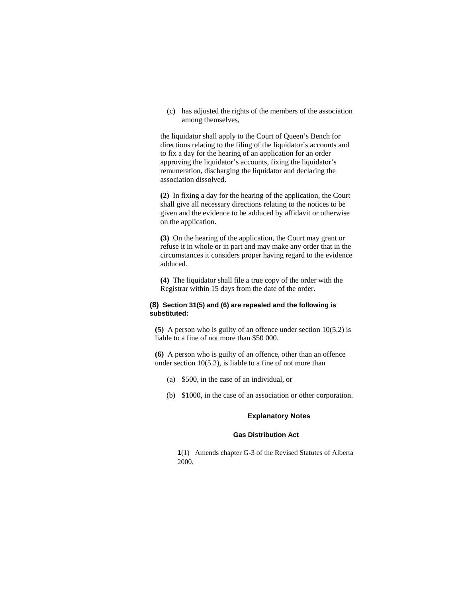(c) has adjusted the rights of the members of the association among themselves,

the liquidator shall apply to the Court of Queen's Bench for directions relating to the filing of the liquidator's accounts and to fix a day for the hearing of an application for an order approving the liquidator's accounts, fixing the liquidator's remuneration, discharging the liquidator and declaring the association dissolved.

**(2)** In fixing a day for the hearing of the application, the Court shall give all necessary directions relating to the notices to be given and the evidence to be adduced by affidavit or otherwise on the application.

**(3)** On the hearing of the application, the Court may grant or refuse it in whole or in part and may make any order that in the circumstances it considers proper having regard to the evidence adduced.

**(4)** The liquidator shall file a true copy of the order with the Registrar within 15 days from the date of the order.

# **(8) Section 31(5) and (6) are repealed and the following is substituted:**

**(5)** A person who is guilty of an offence under section 10(5.2) is liable to a fine of not more than \$50 000.

**(6)** A person who is guilty of an offence, other than an offence under section  $10(5.2)$ , is liable to a fine of not more than

- (a) \$500, in the case of an individual, or
- (b) \$1000, in the case of an association or other corporation.

# **Explanatory Notes**

# **Gas Distribution Act**

**1**(1) Amends chapter G-3 of the Revised Statutes of Alberta 2000.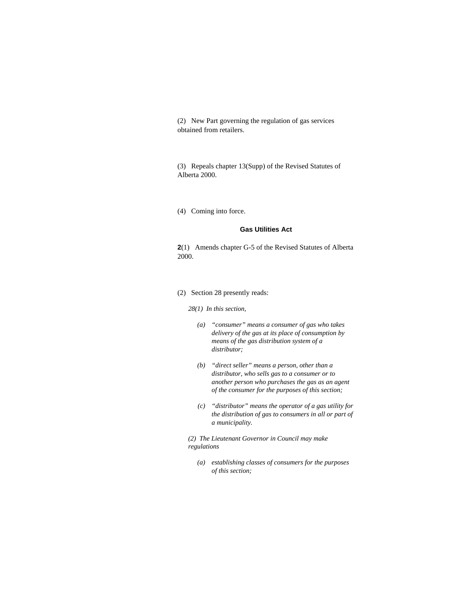(2) New Part governing the regulation of gas services obtained from retailers.

(3) Repeals chapter 13(Supp) of the Revised Statutes of Alberta 2000.

(4) Coming into force.

#### **Gas Utilities Act**

**2**(1) Amends chapter G-5 of the Revised Statutes of Alberta 2000.

#### (2) Section 28 presently reads:

#### *28(1) In this section,*

- *(a) "consumer" means a consumer of gas who takes delivery of the gas at its place of consumption by means of the gas distribution system of a distributor;*
- *(b) "direct seller" means a person, other than a distributor, who sells gas to a consumer or to another person who purchases the gas as an agent of the consumer for the purposes of this section;*
- *(c) "distributor" means the operator of a gas utility for the distribution of gas to consumers in all or part of a municipality.*

*(2) The Lieutenant Governor in Council may make regulations* 

 *(a) establishing classes of consumers for the purposes of this section;*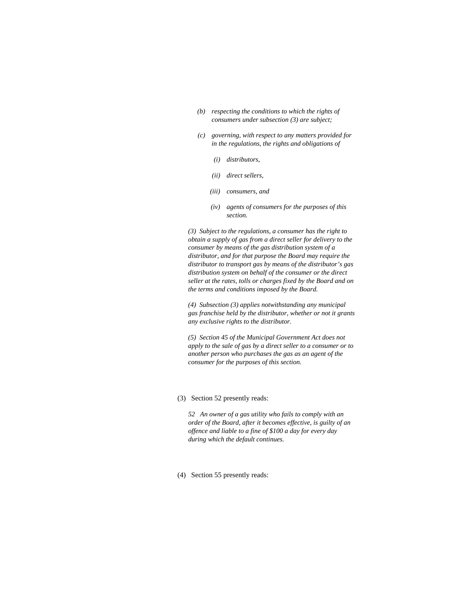- *(b) respecting the conditions to which the rights of consumers under subsection (3) are subject;*
- *(c) governing, with respect to any matters provided for in the regulations, the rights and obligations of* 
	- *(i) distributors,*
	- *(ii) direct sellers,*
	- *(iii) consumers, and*
	- *(iv) agents of consumers for the purposes of this section.*

*(3) Subject to the regulations, a consumer has the right to obtain a supply of gas from a direct seller for delivery to the consumer by means of the gas distribution system of a distributor, and for that purpose the Board may require the distributor to transport gas by means of the distributor's gas distribution system on behalf of the consumer or the direct seller at the rates, tolls or charges fixed by the Board and on the terms and conditions imposed by the Board.* 

*(4) Subsection (3) applies notwithstanding any municipal gas franchise held by the distributor, whether or not it grants any exclusive rights to the distributor.* 

*(5) Section 45 of the Municipal Government Act does not apply to the sale of gas by a direct seller to a consumer or to another person who purchases the gas as an agent of the consumer for the purposes of this section.* 

#### (3) Section 52 presently reads:

*52 An owner of a gas utility who fails to comply with an order of the Board, after it becomes effective, is guilty of an offence and liable to a fine of \$100 a day for every day during which the default continues.* 

(4) Section 55 presently reads: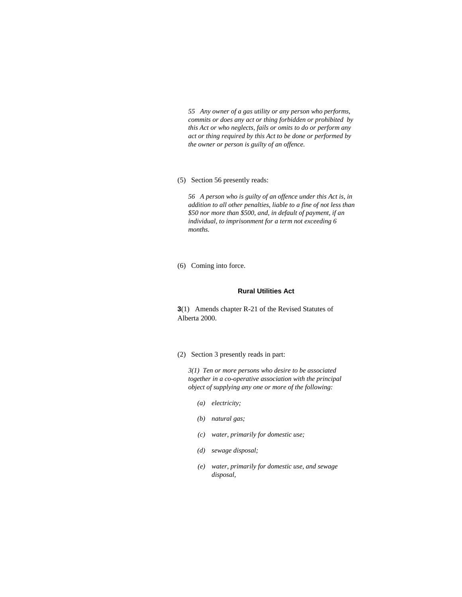*55 Any owner of a gas utility or any person who performs, commits or does any act or thing forbidden or prohibited by this Act or who neglects, fails or omits to do or perform any act or thing required by this Act to be done or performed by the owner or person is guilty of an offence.* 

(5) Section 56 presently reads:

*56 A person who is guilty of an offence under this Act is, in addition to all other penalties, liable to a fine of not less than \$50 nor more than \$500, and, in default of payment, if an individual, to imprisonment for a term not exceeding 6 months.* 

(6) Coming into force.

#### **Rural Utilities Act**

**3**(1) Amends chapter R-21 of the Revised Statutes of Alberta 2000.

(2) Section 3 presently reads in part:

*3(1) Ten or more persons who desire to be associated together in a co-operative association with the principal object of supplying any one or more of the following:* 

- *(a) electricity;*
- *(b) natural gas;*
- *(c) water, primarily for domestic use;*
- *(d) sewage disposal;*
- *(e) water, primarily for domestic use, and sewage disposal,*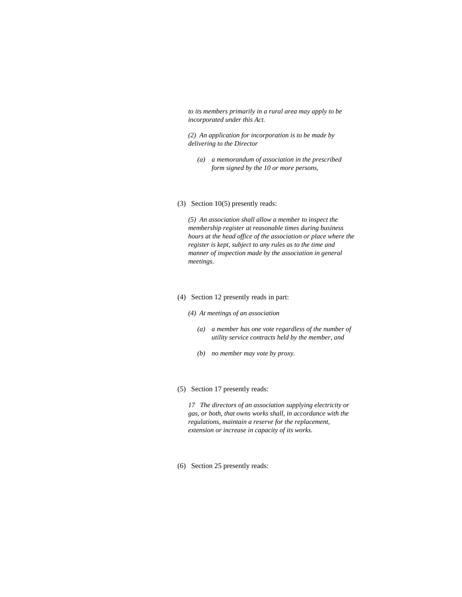*to its members primarily in a rural area may apply to be incorporated under this Act.* 

*(2) An application for incorporation is to be made by delivering to the Director* 

- *(a) a memorandum of association in the prescribed form signed by the 10 or more persons,*
- (3) Section 10(5) presently reads:

*(5) An association shall allow a member to inspect the membership register at reasonable times during business hours at the head office of the association or place where the register is kept, subject to any rules as to the time and manner of inspection made by the association in general meetings.* 

#### (4) Section 12 presently reads in part:

- *(4) At meetings of an association* 
	- *(a) a member has one vote regardless of the number of utility service contracts held by the member, and*
	- *(b) no member may vote by proxy.*
- (5) Section 17 presently reads:

*17 The directors of an association supplying electricity or gas, or both, that owns works shall, in accordance with the regulations, maintain a reserve for the replacement, extension or increase in capacity of its works.* 

(6) Section 25 presently reads: